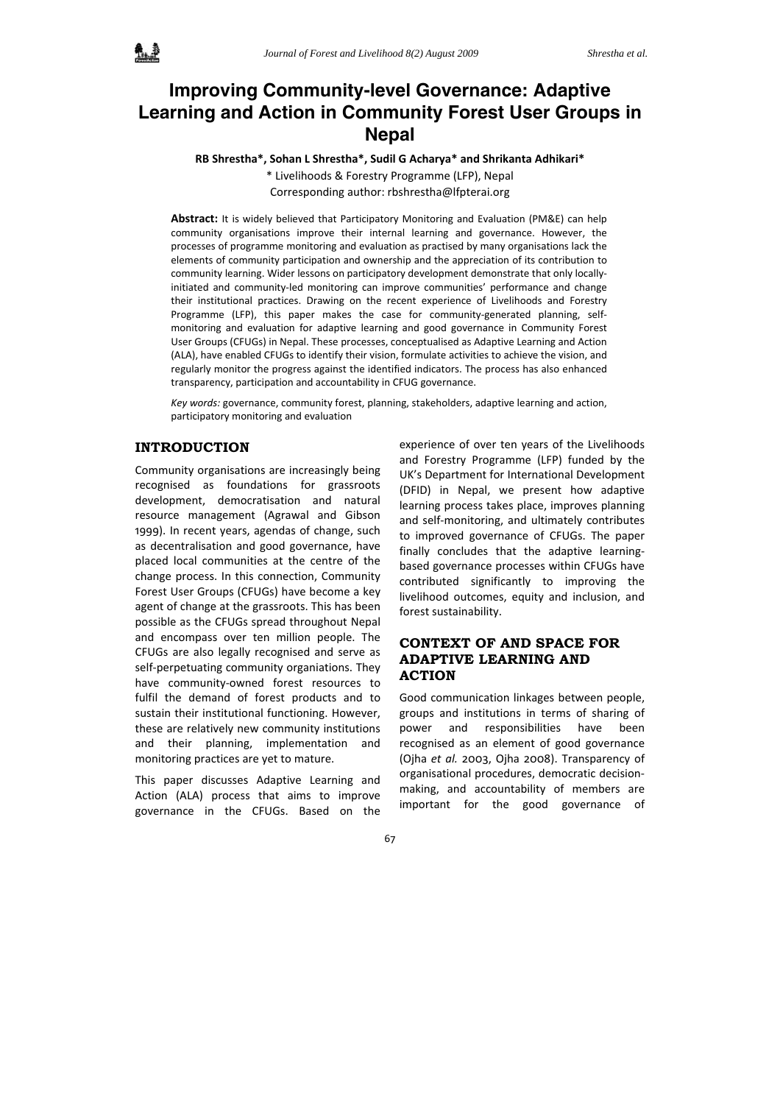

# **Improving Community-level Governance: Adaptive Learning and Action in Community Forest User Groups in Nepal**

**RB Shrestha\*, Sohan L Shrestha\*, Sudil G Acharya\* and Shrikanta Adhikari\*** \* Livelihoods & Forestry Programme (LFP), Nepal Corresponding author: rbshrestha@lfpterai.org

**Abstract:** It is widely believed that Participatory Monitoring and Evaluation (PM&E) can help community organisations improve their internal learning and governance. However, the processes of programme monitoring and evaluation as practised by many organisations lack the elements of community participation and ownership and the appreciation of its contribution to community learning. Wider lessons on participatory development demonstrate that only locally‐ initiated and community‐led monitoring can improve communities' performance and change their institutional practices. Drawing on the recent experience of Livelihoods and Forestry Programme (LFP), this paper makes the case for community-generated planning, selfmonitoring and evaluation for adaptive learning and good governance in Community Forest User Groups (CFUGs) in Nepal. These processes, conceptualised as Adaptive Learning and Action (ALA), have enabled CFUGs to identify their vision, formulate activities to achieve the vision, and regularly monitor the progress against the identified indicators. The process has also enhanced transparency, participation and accountability in CFUG governance.

*Key words:* governance, community forest, planning, stakeholders, adaptive learning and action, participatory monitoring and evaluation

# **INTRODUCTION**

Community organisations are increasingly being recognised as foundations for grassroots development, democratisation and natural resource management (Agrawal and Gibson 1999). In recent years, agendas of change, such as decentralisation and good governance, have placed local communities at the centre of the change process. In this connection, Community Forest User Groups (CFUGs) have become a key agent of change at the grassroots. This has been possible as the CFUGs spread throughout Nepal and encompass over ten million people. The CFUGs are also legally recognised and serve as self-perpetuating community organiations. They have community‐owned forest resources to fulfil the demand of forest products and to sustain their institutional functioning. However, these are relatively new community institutions and their planning, implementation and monitoring practices are yet to mature.

This paper discusses Adaptive Learning and Action (ALA) process that aims to improve governance in the CFUGs. Based on the

experience of over ten years of the Livelihoods and Forestry Programme (LFP) funded by the UK's Department for International Development (DFID) in Nepal, we present how adaptive learning process takes place, improves planning and self‐monitoring, and ultimately contributes to improved governance of CFUGs. The paper finally concludes that the adaptive learning‐ based governance processes within CFUGs have contributed significantly to improving the livelihood outcomes, equity and inclusion, and forest sustainability.

## **CONTEXT OF AND SPACE FOR ADAPTIVE LEARNING AND ACTION**

Good communication linkages between people, groups and institutions in terms of sharing of power and responsibilities have been recognised as an element of good governance (Ojha *et al.* 2003, Ojha 2008). Transparency of organisational procedures, democratic decision‐ making, and accountability of members are important for the good governance of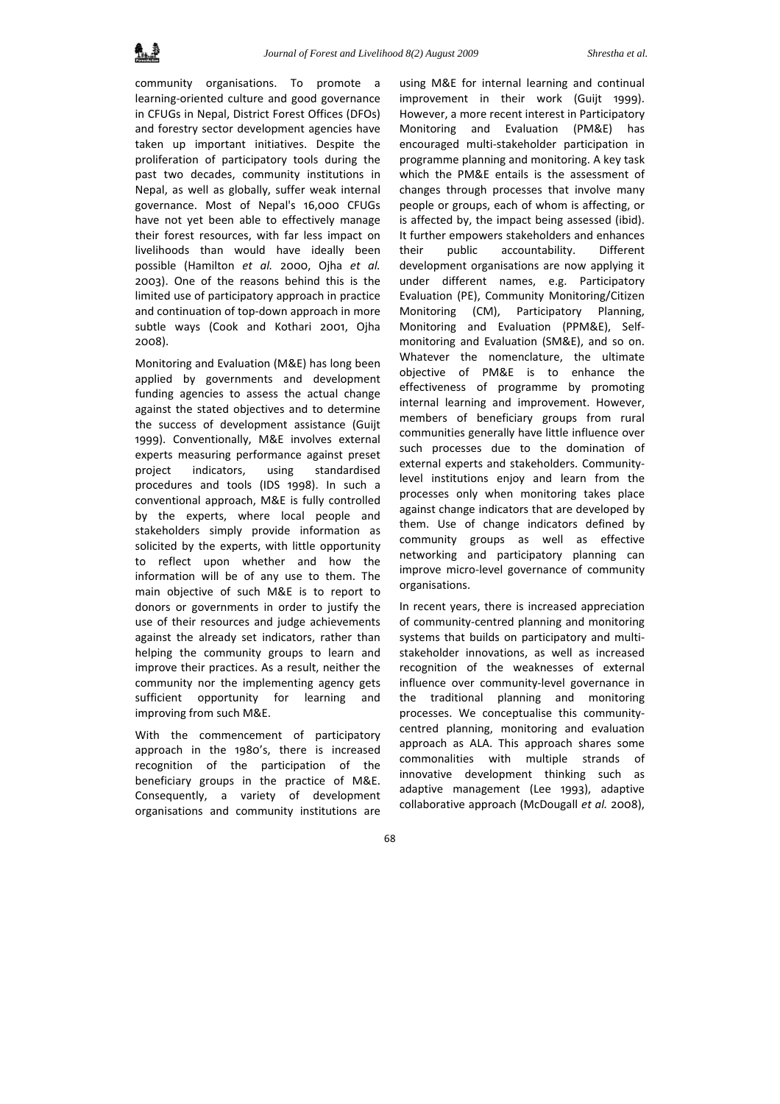community organisations. To promote a learning‐oriented culture and good governance in CFUGs in Nepal, District Forest Offices (DFOs) and forestry sector development agencies have taken up important initiatives. Despite the proliferation of participatory tools during the past two decades, community institutions in Nepal, as well as globally, suffer weak internal governance. Most of Nepal's 16,000 CFUGs have not yet been able to effectively manage their forest resources, with far less impact on livelihoods than would have ideally been possible (Hamilton *et al.* 2000, Ojha *et al.* 2003). One of the reasons behind this is the limited use of participatory approach in practice and continuation of top‐down approach in more subtle ways (Cook and Kothari 2001, Ojha 2008).

Monitoring and Evaluation (M&E) has long been applied by governments and development funding agencies to assess the actual change against the stated objectives and to determine the success of development assistance (Guijt 1999). Conventionally, M&E involves external experts measuring performance against preset project indicators, using standardised procedures and tools (IDS 1998). In such a conventional approach, M&E is fully controlled by the experts, where local people and stakeholders simply provide information as solicited by the experts, with little opportunity to reflect upon whether and how the information will be of any use to them. The main objective of such M&E is to report to donors or governments in order to justify the use of their resources and judge achievements against the already set indicators, rather than helping the community groups to learn and improve their practices. As a result, neither the community nor the implementing agency gets sufficient opportunity for learning and improving from such M&E.

With the commencement of participatory approach in the 1980's, there is increased recognition of the participation of the beneficiary groups in the practice of M&E. Consequently, a variety of development organisations and community institutions are

using M&E for internal learning and continual improvement in their work (Guijt 1999). However, a more recent interest in Participatory Monitoring and Evaluation (PM&E) has encouraged multi‐stakeholder participation in programme planning and monitoring. A key task which the PM&E entails is the assessment of changes through processes that involve many people or groups, each of whom is affecting, or is affected by, the impact being assessed (ibid). It further empowers stakeholders and enhances their public accountability. Different development organisations are now applying it under different names, e.g. Participatory Evaluation (PE), Community Monitoring/Citizen Monitoring (CM), Participatory Planning, Monitoring and Evaluation (PPM&E), Self‐ monitoring and Evaluation (SM&E), and so on. Whatever the nomenclature, the ultimate objective of PM&E is to enhance the effectiveness of programme by promoting internal learning and improvement. However, members of beneficiary groups from rural communities generally have little influence over such processes due to the domination of external experts and stakeholders. Community‐ level institutions enjoy and learn from the processes only when monitoring takes place against change indicators that are developed by them. Use of change indicators defined by community groups as well as effective networking and participatory planning can improve micro-level governance of community organisations.

In recent years, there is increased appreciation of community‐centred planning and monitoring systems that builds on participatory and multi‐ stakeholder innovations, as well as increased recognition of the weaknesses of external influence over community‐level governance in the traditional planning and monitoring processes. We conceptualise this community‐ centred planning, monitoring and evaluation approach as ALA. This approach shares some commonalities with multiple strands of innovative development thinking such as adaptive management (Lee 1993), adaptive collaborative approach (McDougall *et al.* 2008),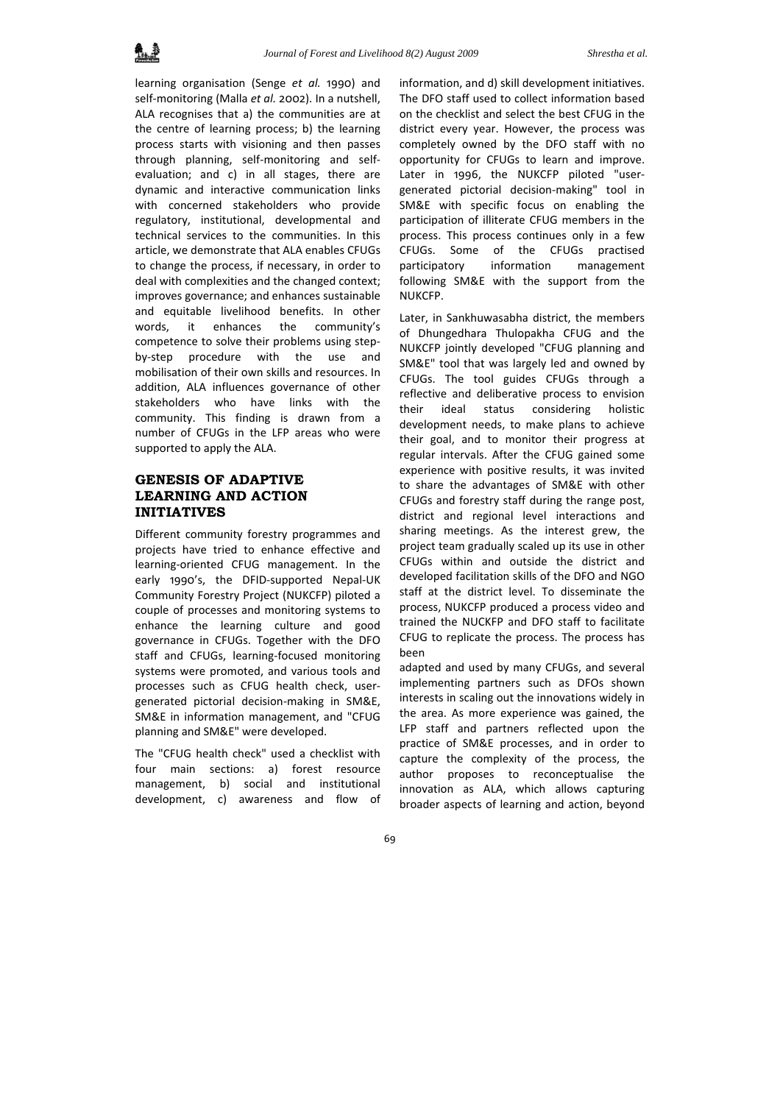learning organisation (Senge *et al.* 1990) and self‐monitoring (Malla *et al.* 2002). In a nutshell, ALA recognises that a) the communities are at the centre of learning process; b) the learning process starts with visioning and then passes through planning, self‐monitoring and self‐ evaluation; and c) in all stages, there are dynamic and interactive communication links with concerned stakeholders who provide regulatory, institutional, developmental and technical services to the communities. In this article, we demonstrate that ALA enables CFUGs to change the process, if necessary, in order to deal with complexities and the changed context; improves governance; and enhances sustainable and equitable livelihood benefits. In other words, it enhances the community's competence to solve their problems using step‐ by‐step procedure with the use and mobilisation of their own skills and resources. In addition, ALA influences governance of other stakeholders who have links with the community. This finding is drawn from a number of CFUGs in the LFP areas who were supported to apply the ALA.

# **GENESIS OF ADAPTIVE LEARNING AND ACTION INITIATIVES**

Different community forestry programmes and projects have tried to enhance effective and learning‐oriented CFUG management. In the early 1990's, the DFID‐supported Nepal‐UK Community Forestry Project (NUKCFP) piloted a couple of processes and monitoring systems to enhance the learning culture and good governance in CFUGs. Together with the DFO staff and CFUGs, learning‐focused monitoring systems were promoted, and various tools and processes such as CFUG health check, user‐ generated pictorial decision‐making in SM&E, SM&E in information management, and "CFUG planning and SM&E" were developed.

The "CFUG health check" used a checklist with four main sections: a) forest resource management, b) social and institutional development, c) awareness and flow of information, and d) skill development initiatives. The DFO staff used to collect information based on the checklist and select the best CFUG in the district every year. However, the process was completely owned by the DFO staff with no opportunity for CFUGs to learn and improve. Later in 1996, the NUKCFP piloted "user‐ generated pictorial decision‐making" tool in SM&E with specific focus on enabling the participation of illiterate CFUG members in the process. This process continues only in a few CFUGs. Some of the CFUGs practised participatory information management following SM&E with the support from the NUKCFP.

Later, in Sankhuwasabha district, the members of Dhungedhara Thulopakha CFUG and the NUKCFP jointly developed "CFUG planning and SM&E" tool that was largely led and owned by CFUGs. The tool guides CFUGs through a reflective and deliberative process to envision their ideal status considering holistic development needs, to make plans to achieve their goal, and to monitor their progress at regular intervals. After the CFUG gained some experience with positive results, it was invited to share the advantages of SM&E with other CFUGs and forestry staff during the range post, district and regional level interactions and sharing meetings. As the interest grew, the project team gradually scaled up its use in other CFUGs within and outside the district and developed facilitation skills of the DFO and NGO staff at the district level. To disseminate the process, NUKCFP produced a process video and trained the NUCKFP and DFO staff to facilitate CFUG to replicate the process. The process has been

adapted and used by many CFUGs, and several implementing partners such as DFOs shown interests in scaling out the innovations widely in the area. As more experience was gained, the LFP staff and partners reflected upon the practice of SM&E processes, and in order to capture the complexity of the process, the author proposes to reconceptualise the innovation as ALA, which allows capturing broader aspects of learning and action, beyond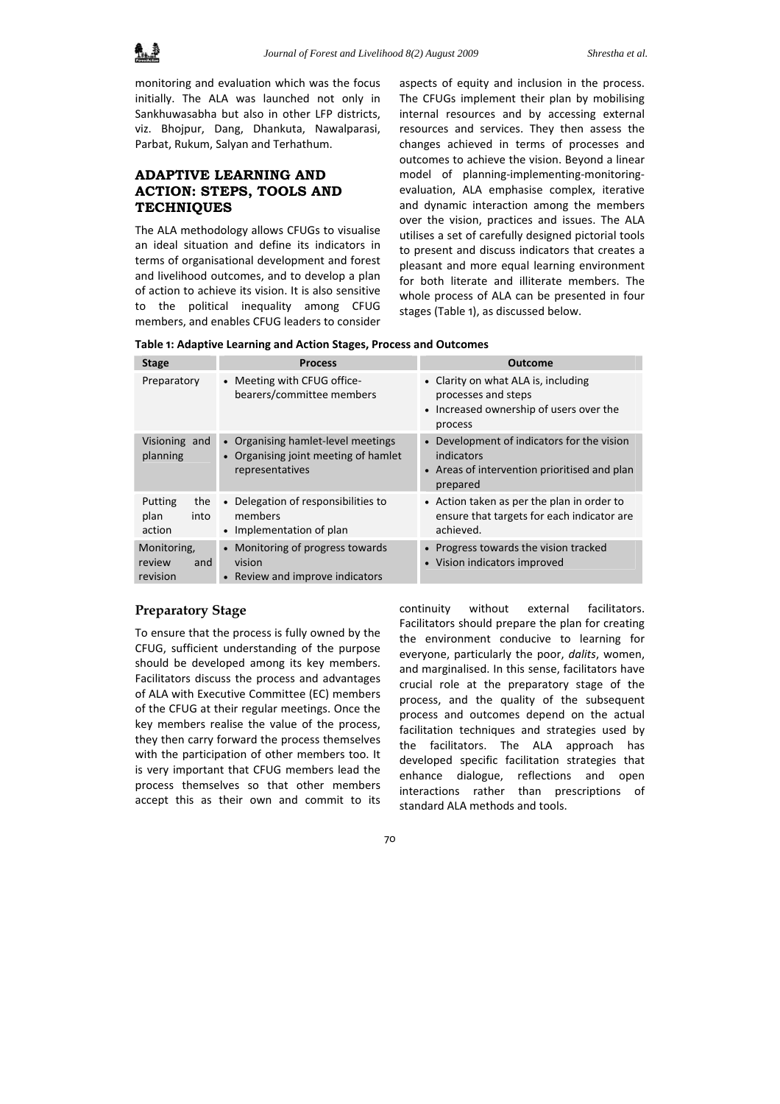

monitoring and evaluation which was the focus initially. The ALA was launched not only in Sankhuwasabha but also in other LFP districts, viz. Bhojpur, Dang, Dhankuta, Nawalparasi, Parbat, Rukum, Salyan and Terhathum.

## **ADAPTIVE LEARNING AND ACTION: STEPS, TOOLS AND TECHNIQUES**

The ALA methodology allows CFUGs to visualise an ideal situation and define its indicators in terms of organisational development and forest and livelihood outcomes, and to develop a plan of action to achieve its vision. It is also sensitive to the political inequality among CFUG members, and enables CFUG leaders to consider

aspects of equity and inclusion in the process. The CFUGs implement their plan by mobilising internal resources and by accessing external resources and services. They then assess the changes achieved in terms of processes and outcomes to achieve the vision. Beyond a linear model of planning‐implementing‐monitoring‐ evaluation, ALA emphasise complex, iterative and dynamic interaction among the members over the vision, practices and issues. The ALA utilises a set of carefully designed pictorial tools to present and discuss indicators that creates a pleasant and more equal learning environment for both literate and illiterate members. The whole process of ALA can be presented in four stages (Table 1), as discussed below.

| Table 1: Adaptive Learning and Action Stages, Process and Outcomes |  |
|--------------------------------------------------------------------|--|
|--------------------------------------------------------------------|--|

| <b>Stage</b>                             | <b>Process</b>                                                                                | Outcome                                                                                                              |  |  |  |  |  |
|------------------------------------------|-----------------------------------------------------------------------------------------------|----------------------------------------------------------------------------------------------------------------------|--|--|--|--|--|
| Preparatory                              | • Meeting with CFUG office-<br>bearers/committee members                                      | • Clarity on what ALA is, including<br>processes and steps<br>• Increased ownership of users over the<br>process     |  |  |  |  |  |
| Visioning and<br>planning                | • Organising hamlet-level meetings<br>• Organising joint meeting of hamlet<br>representatives | • Development of indicators for the vision<br>indicators<br>• Areas of intervention prioritised and plan<br>prepared |  |  |  |  |  |
| Putting<br>the<br>plan<br>into<br>action | • Delegation of responsibilities to<br>members<br>• Implementation of plan                    | • Action taken as per the plan in order to<br>ensure that targets for each indicator are<br>achieved.                |  |  |  |  |  |
| Monitoring,<br>and<br>review<br>revision | • Monitoring of progress towards<br>vision<br>• Review and improve indicators                 | • Progress towards the vision tracked<br>• Vision indicators improved                                                |  |  |  |  |  |

### **Preparatory Stage**

To ensure that the process is fully owned by the CFUG, sufficient understanding of the purpose should be developed among its key members. Facilitators discuss the process and advantages of ALA with Executive Committee (EC) members of the CFUG at their regular meetings. Once the key members realise the value of the process, they then carry forward the process themselves with the participation of other members too. It is very important that CFUG members lead the process themselves so that other members accept this as their own and commit to its

continuity without external facilitators. Facilitators should prepare the plan for creating the environment conducive to learning for everyone, particularly the poor, *dalits*, women, and marginalised. In this sense, facilitators have crucial role at the preparatory stage of the process, and the quality of the subsequent process and outcomes depend on the actual facilitation techniques and strategies used by the facilitators. The ALA approach has developed specific facilitation strategies that enhance dialogue, reflections and open interactions rather than prescriptions of standard ALA methods and tools.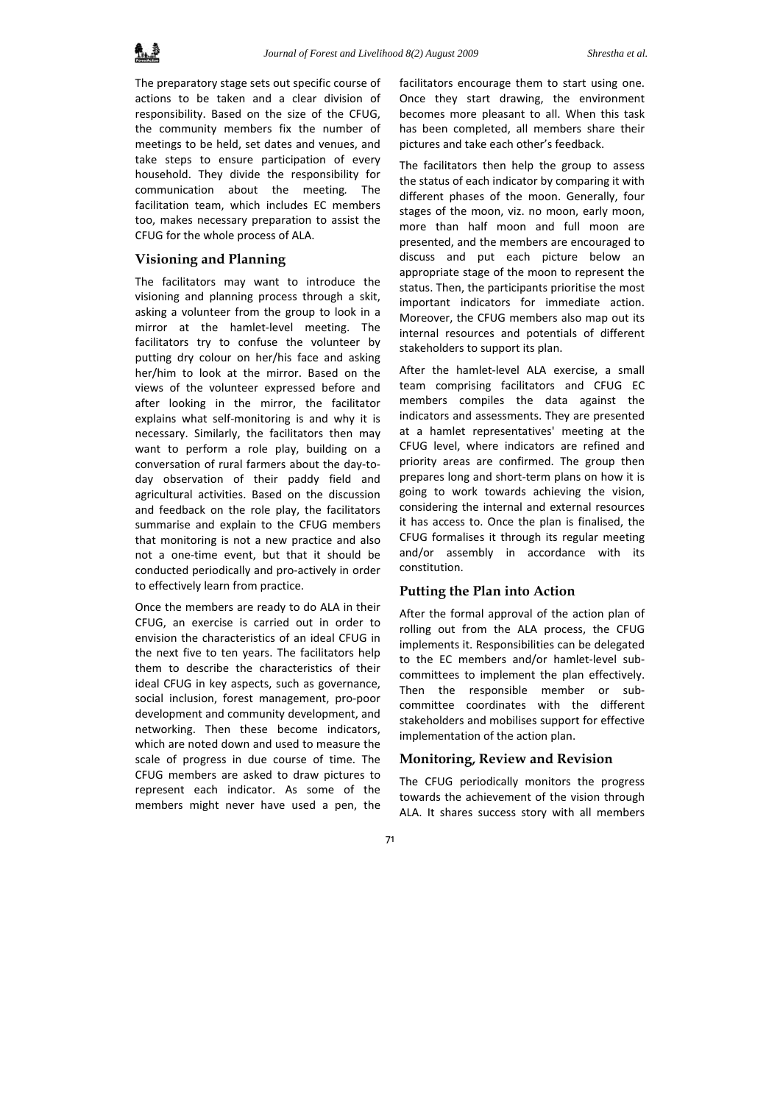

The preparatory stage sets out specific course of actions to be taken and a clear division of responsibility. Based on the size of the CFUG, the community members fix the number of meetings to be held, set dates and venues, and take steps to ensure participation of every household. They divide the responsibility for communication about the meeting*.* The facilitation team, which includes EC members too, makes necessary preparation to assist the CFUG for the whole process of ALA.

#### **Visioning and Planning**

The facilitators may want to introduce the visioning and planning process through a skit, asking a volunteer from the group to look in a mirror at the hamlet‐level meeting. The facilitators try to confuse the volunteer by putting dry colour on her/his face and asking her/him to look at the mirror. Based on the views of the volunteer expressed before and after looking in the mirror, the facilitator explains what self‐monitoring is and why it is necessary. Similarly, the facilitators then may want to perform a role play, building on a conversation of rural farmers about the day‐to‐ day observation of their paddy field and agricultural activities. Based on the discussion and feedback on the role play, the facilitators summarise and explain to the CFUG members that monitoring is not a new practice and also not a one‐time event, but that it should be conducted periodically and pro‐actively in order to effectively learn from practice.

Once the members are ready to do ALA in their CFUG, an exercise is carried out in order to envision the characteristics of an ideal CFUG in the next five to ten years. The facilitators help them to describe the characteristics of their ideal CFUG in key aspects, such as governance, social inclusion, forest management, pro‐poor development and community development, and networking. Then these become indicators, which are noted down and used to measure the scale of progress in due course of time. The CFUG members are asked to draw pictures to represent each indicator. As some of the members might never have used a pen, the

facilitators encourage them to start using one. Once they start drawing, the environment becomes more pleasant to all. When this task has been completed, all members share their pictures and take each other's feedback.

The facilitators then help the group to assess the status of each indicator by comparing it with different phases of the moon. Generally, four stages of the moon, viz. no moon, early moon, more than half moon and full moon are presented, and the members are encouraged to discuss and put each picture below an appropriate stage of the moon to represent the status. Then, the participants prioritise the most important indicators for immediate action. Moreover, the CFUG members also map out its internal resources and potentials of different stakeholders to support its plan.

After the hamlet-level ALA exercise, a small team comprising facilitators and CFUG EC members compiles the data against the indicators and assessments. They are presented at a hamlet representatives' meeting at the CFUG level, where indicators are refined and priority areas are confirmed. The group then prepares long and short‐term plans on how it is going to work towards achieving the vision, considering the internal and external resources it has access to. Once the plan is finalised, the CFUG formalises it through its regular meeting and/or assembly in accordance with its constitution.

#### **Putting the Plan into Action**

After the formal approval of the action plan of rolling out from the ALA process, the CFUG implements it. Responsibilities can be delegated to the EC members and/or hamlet‐level sub‐ committees to implement the plan effectively. Then the responsible member or sub‐ committee coordinates with the different stakeholders and mobilises support for effective implementation of the action plan.

#### **Monitoring, Review and Revision**

The CFUG periodically monitors the progress towards the achievement of the vision through ALA. It shares success story with all members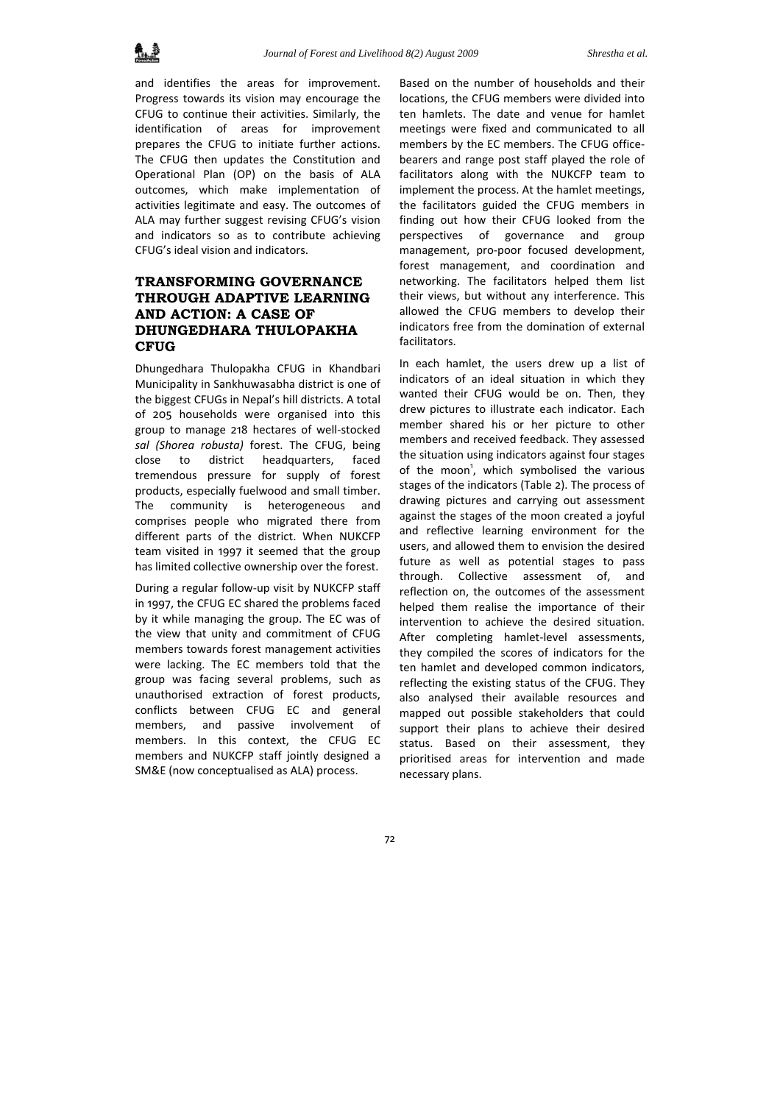and identifies the areas for improvement. Progress towards its vision may encourage the CFUG to continue their activities. Similarly, the identification of areas for improvement prepares the CFUG to initiate further actions. The CFUG then updates the Constitution and Operational Plan (OP) on the basis of ALA outcomes, which make implementation of activities legitimate and easy. The outcomes of ALA may further suggest revising CFUG's vision and indicators so as to contribute achieving CFUG's ideal vision and indicators.

# **TRANSFORMING GOVERNANCE THROUGH ADAPTIVE LEARNING AND ACTION: A CASE OF DHUNGEDHARA THULOPAKHA CFUG**

Dhungedhara Thulopakha CFUG in Khandbari Municipality in Sankhuwasabha district is one of the biggest CFUGs in Nepal's hill districts. A total of 205 households were organised into this group to manage 218 hectares of well‐stocked *sal (Shorea robusta)* forest. The CFUG, being close to district headquarters, faced tremendous pressure for supply of forest products, especially fuelwood and small timber. The community is heterogeneous and comprises people who migrated there from different parts of the district. When NUKCFP team visited in 1997 it seemed that the group has limited collective ownership over the forest.

During a regular follow‐up visit by NUKCFP staff in 1997, the CFUG EC shared the problems faced by it while managing the group. The EC was of the view that unity and commitment of CFUG members towards forest management activities were lacking. The EC members told that the group was facing several problems, such as unauthorised extraction of forest products, conflicts between CFUG EC and general members, and passive involvement of members. In this context, the CFUG EC members and NUKCFP staff jointly designed a SM&E (now conceptualised as ALA) process.

Based on the number of households and their locations, the CFUG members were divided into ten hamlets. The date and venue for hamlet meetings were fixed and communicated to all members by the EC members. The CFUG office‐ bearers and range post staff played the role of facilitators along with the NUKCFP team to implement the process. At the hamlet meetings, the facilitators guided the CFUG members in finding out how their CFUG looked from the perspectives of governance and group management, pro‐poor focused development, forest management, and coordination and networking. The facilitators helped them list their views, but without any interference. This allowed the CFUG members to develop their indicators free from the domination of external facilitators.

In each hamlet, the users drew up a list of indicators of an ideal situation in which they wanted their CFUG would be on. Then, they drew pictures to illustrate each indicator. Each member shared his or her picture to other members and received feedback. They assessed the situation using indicators against four stages of the moon<sup>1</sup>, which symbolised the various stages of the indicators (Table 2). The process of drawing pictures and carrying out assessment against the stages of the moon created a joyful and reflective learning environment for the users, and allowed them to envision the desired future as well as potential stages to pass through. Collective assessment of, and reflection on, the outcomes of the assessment helped them realise the importance of their intervention to achieve the desired situation. After completing hamlet-level assessments, they compiled the scores of indicators for the ten hamlet and developed common indicators, reflecting the existing status of the CFUG. They also analysed their available resources and mapped out possible stakeholders that could support their plans to achieve their desired status. Based on their assessment, they prioritised areas for intervention and made necessary plans.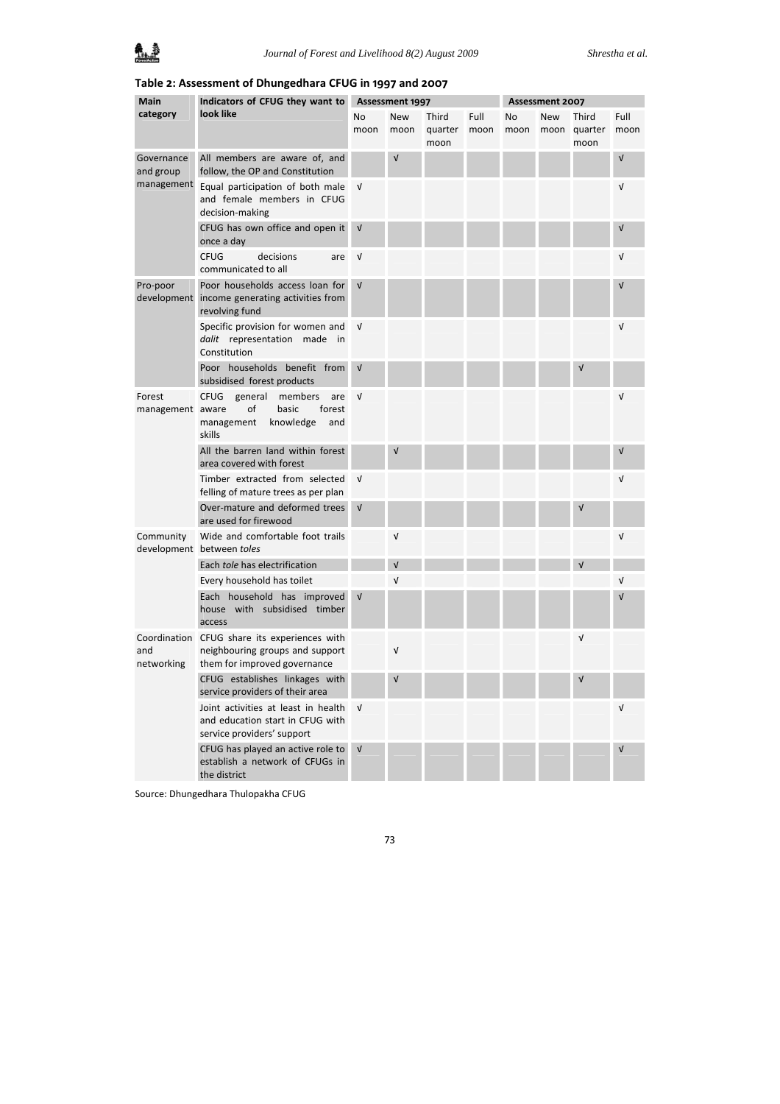| Main<br>category                      | Indicators of CFUG they want to<br>look like                                                                  | <b>Assessment 1997</b> |             |                          |              | <b>Assessment 2007</b> |     |                               |                           |
|---------------------------------------|---------------------------------------------------------------------------------------------------------------|------------------------|-------------|--------------------------|--------------|------------------------|-----|-------------------------------|---------------------------|
|                                       |                                                                                                               | No<br>moon             | New<br>moon | Third<br>quarter<br>moon | Full<br>moon | No<br>moon             | New | Third<br>moon quarter<br>moon | Full<br>moon              |
| Governance<br>and group<br>management | All members are aware of, and<br>follow, the OP and Constitution                                              |                        | $\sqrt{ }$  |                          |              |                        |     |                               | $\ensuremath{\mathsf{V}}$ |
|                                       | Equal participation of both male<br>and female members in CFUG<br>decision-making                             | $\sqrt{ }$             |             |                          |              |                        |     |                               | $\sqrt{ }$                |
|                                       | CFUG has own office and open it<br>once a day                                                                 | V                      |             |                          |              |                        |     |                               | $\ensuremath{\mathsf{V}}$ |
|                                       | <b>CFUG</b><br>decisions<br>are<br>communicated to all                                                        | $\sqrt{ }$             |             |                          |              |                        |     |                               | $\sqrt{ }$                |
| Pro-poor                              | Poor households access loan for<br>development income generating activities from<br>revolving fund            | $\sqrt{ }$             |             |                          |              |                        |     |                               | V                         |
|                                       | Specific provision for women and<br>dalit representation made in<br>Constitution                              | $\sqrt{ }$             |             |                          |              |                        |     |                               | $\sqrt{ }$                |
|                                       | Poor households benefit from<br>subsidised forest products                                                    | $\sqrt{ }$             |             |                          |              |                        |     | ν                             |                           |
| Forest<br>management aware            | <b>CFUG</b><br>general<br>members<br>are<br>of<br>basic<br>forest<br>management<br>knowledge<br>and<br>skills | $\sqrt{ }$             |             |                          |              |                        |     |                               | V                         |
|                                       | All the barren land within forest<br>area covered with forest                                                 |                        | V           |                          |              |                        |     |                               | V                         |
|                                       | Timber extracted from selected<br>felling of mature trees as per plan                                         | $\sqrt{ }$             |             |                          |              |                        |     |                               | $\sqrt{ }$                |
|                                       | Over-mature and deformed trees<br>are used for firewood                                                       | $\sqrt{ }$             |             |                          |              |                        |     | ν                             |                           |
| Community                             | Wide and comfortable foot trails<br>development between toles                                                 |                        | $\sqrt{ }$  |                          |              |                        |     |                               | V                         |
|                                       | Each tole has electrification                                                                                 |                        | $\sqrt{ }$  |                          |              |                        |     | $\sqrt{ }$                    |                           |
|                                       | Every household has toilet                                                                                    |                        | $\sqrt{ }$  |                          |              |                        |     |                               | $\sqrt{ }$                |
|                                       | Each household has improved<br>house with subsidised timber<br>access                                         | V                      |             |                          |              |                        |     |                               | $\sqrt{ }$                |
| Coordination<br>and<br>networking     | CFUG share its experiences with<br>neighbouring groups and support<br>them for improved governance            |                        | $\sqrt{ }$  |                          |              |                        |     | V                             |                           |
|                                       | CFUG establishes linkages with<br>service providers of their area                                             |                        | ν           |                          |              |                        |     | ν                             |                           |
|                                       | Joint activities at least in health<br>and education start in CFUG with<br>service providers' support         | $\sqrt{ }$             |             |                          |              |                        |     |                               | V                         |
|                                       | CFUG has played an active role to<br>establish a network of CFUGs in<br>the district                          | V                      |             |                          |              |                        |     |                               | V                         |

# **Table 2: Assessment of Dhungedhara CFUG in 1997 and 2007**

Source: Dhungedhara Thulopakha CFUG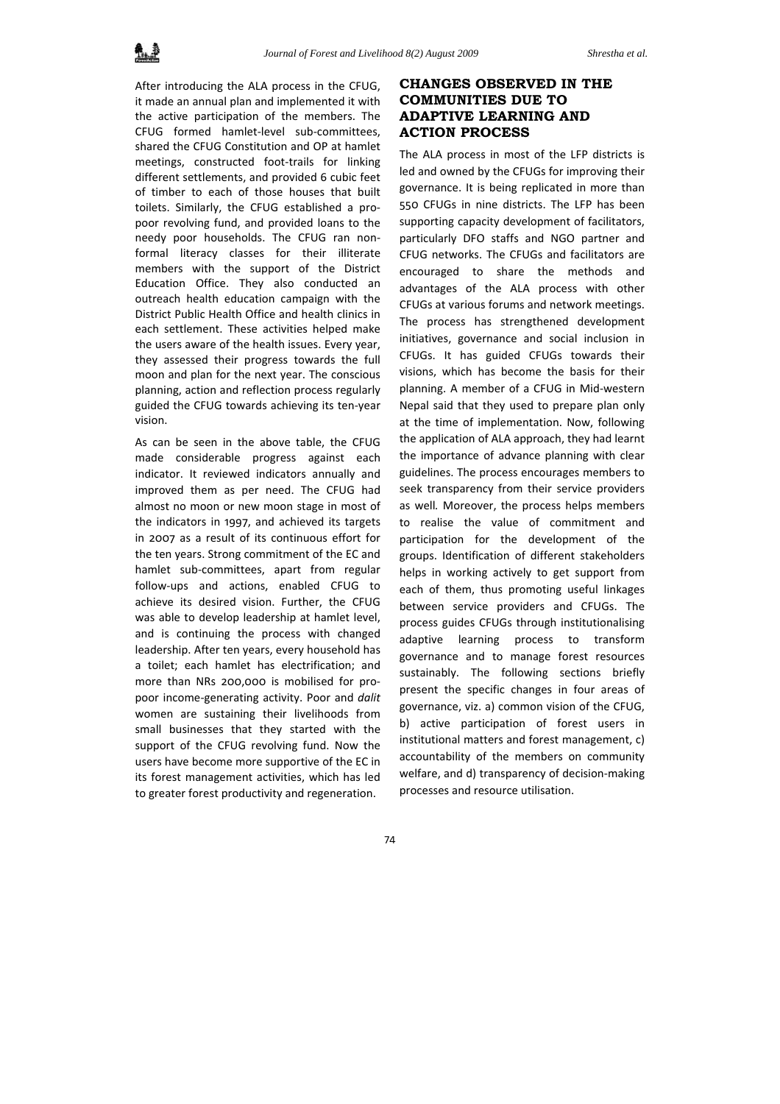After introducing the ALA process in the CFUG, it made an annual plan and implemented it with the active participation of the members. The CFUG formed hamlet‐level sub‐committees, shared the CFUG Constitution and OP at hamlet meetings, constructed foot-trails for linking different settlements, and provided 6 cubic feet of timber to each of those houses that built toilets. Similarly, the CFUG established a pro‐ poor revolving fund, and provided loans to the needy poor households. The CFUG ran non‐ formal literacy classes for their illiterate members with the support of the District Education Office. They also conducted an outreach health education campaign with the District Public Health Office and health clinics in each settlement. These activities helped make the users aware of the health issues. Every year, they assessed their progress towards the full moon and plan for the next year. The conscious planning, action and reflection process regularly guided the CFUG towards achieving its ten‐year vision.

As can be seen in the above table, the CFUG made considerable progress against each indicator. It reviewed indicators annually and improved them as per need. The CFUG had almost no moon or new moon stage in most of the indicators in 1997, and achieved its targets in 2007 as a result of its continuous effort for the ten years. Strong commitment of the EC and hamlet sub‐committees, apart from regular follow‐ups and actions, enabled CFUG to achieve its desired vision. Further, the CFUG was able to develop leadership at hamlet level, and is continuing the process with changed leadership. After ten years, every household has a toilet; each hamlet has electrification; and more than NRs 200,000 is mobilised for pro‐ poor income‐generating activity. Poor and *dalit* women are sustaining their livelihoods from small businesses that they started with the support of the CFUG revolving fund. Now the users have become more supportive of the EC in its forest management activities, which has led to greater forest productivity and regeneration.

## **CHANGES OBSERVED IN THE COMMUNITIES DUE TO ADAPTIVE LEARNING AND ACTION PROCESS**

The ALA process in most of the LFP districts is led and owned by the CFUGs for improving their governance. It is being replicated in more than 550 CFUGs in nine districts. The LFP has been supporting capacity development of facilitators, particularly DFO staffs and NGO partner and CFUG networks. The CFUGs and facilitators are encouraged to share the methods and advantages of the ALA process with other CFUGs at various forums and network meetings. The process has strengthened development initiatives, governance and social inclusion in CFUGs. It has guided CFUGs towards their visions, which has become the basis for their planning. A member of a CFUG in Mid‐western Nepal said that they used to prepare plan only at the time of implementation. Now, following the application of ALA approach, they had learnt the importance of advance planning with clear guidelines. The process encourages members to seek transparency from their service providers as well*.* Moreover, the process helps members to realise the value of commitment and participation for the development of the groups. Identification of different stakeholders helps in working actively to get support from each of them, thus promoting useful linkages between service providers and CFUGs. The process guides CFUGs through institutionalising adaptive learning process to transform governance and to manage forest resources sustainably. The following sections briefly present the specific changes in four areas of governance, viz. a) common vision of the CFUG, b) active participation of forest users in institutional matters and forest management, c) accountability of the members on community welfare, and d) transparency of decision-making processes and resource utilisation.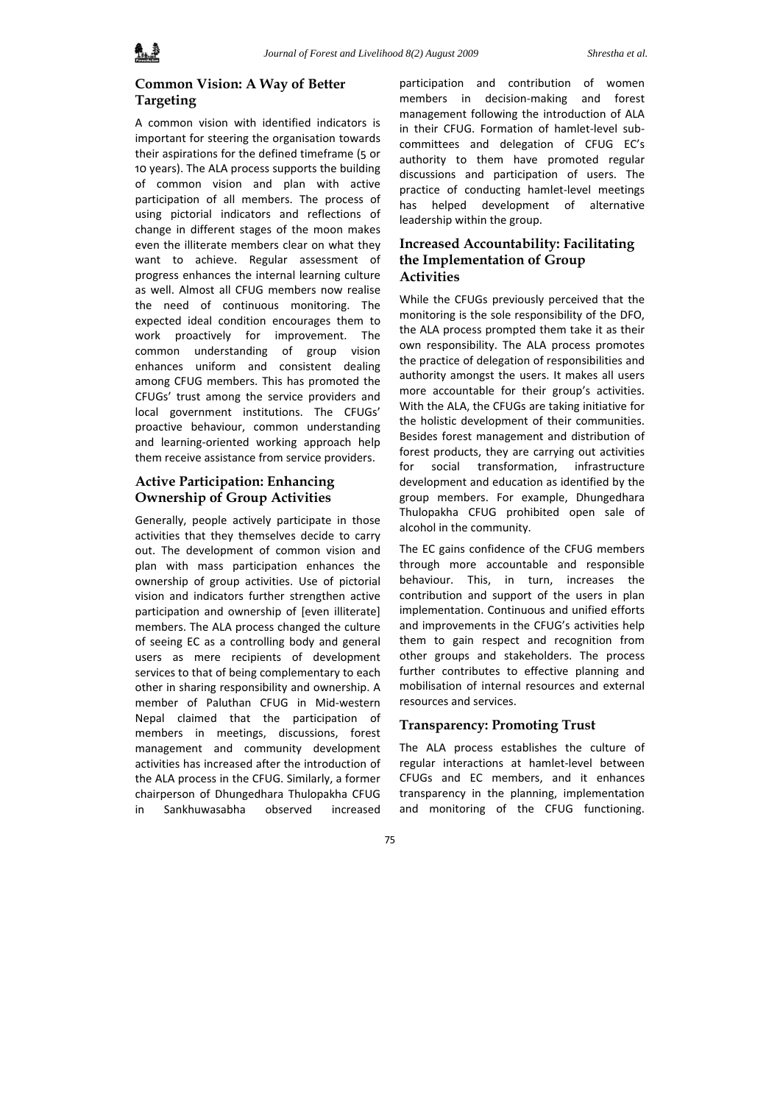# **Common Vision: A Way of Better Targeting**

A common vision with identified indicators is important for steering the organisation towards their aspirations for the defined timeframe (5 or 10 years). The ALA process supports the building of common vision and plan with active participation of all members. The process of using pictorial indicators and reflections of change in different stages of the moon makes even the illiterate members clear on what they want to achieve. Regular assessment of progress enhances the internal learning culture as well. Almost all CFUG members now realise the need of continuous monitoring. The expected ideal condition encourages them to work proactively for improvement. The common understanding of group vision enhances uniform and consistent dealing among CFUG members. This has promoted the CFUGs' trust among the service providers and local government institutions. The CFUGs' proactive behaviour, common understanding and learning‐oriented working approach help them receive assistance from service providers.

# **Active Participation: Enhancing Ownership of Group Activities**

Generally, people actively participate in those activities that they themselves decide to carry out. The development of common vision and plan with mass participation enhances the ownership of group activities. Use of pictorial vision and indicators further strengthen active participation and ownership of [even illiterate] members. The ALA process changed the culture of seeing EC as a controlling body and general users as mere recipients of development services to that of being complementary to each other in sharing responsibility and ownership. A member of Paluthan CFUG in Mid‐western Nepal claimed that the participation of members in meetings, discussions, forest management and community development activities has increased after the introduction of the ALA process in the CFUG. Similarly, a former chairperson of Dhungedhara Thulopakha CFUG in Sankhuwasabha observed increased

participation and contribution of women members in decision-making and forest management following the introduction of ALA in their CFUG. Formation of hamlet‐level sub‐ committees and delegation of CFUG EC's authority to them have promoted regular discussions and participation of users. The practice of conducting hamlet‐level meetings has helped development of alternative leadership within the group.

# **Increased Accountability: Facilitating the Implementation of Group Activities**

While the CFUGs previously perceived that the monitoring is the sole responsibility of the DFO, the ALA process prompted them take it as their own responsibility. The ALA process promotes the practice of delegation of responsibilities and authority amongst the users. It makes all users more accountable for their group's activities. With the ALA, the CFUGs are taking initiative for the holistic development of their communities. Besides forest management and distribution of forest products, they are carrying out activities for social transformation, infrastructure development and education as identified by the group members. For example, Dhungedhara Thulopakha CFUG prohibited open sale of alcohol in the community.

The EC gains confidence of the CFUG members through more accountable and responsible behaviour. This, in turn, increases the contribution and support of the users in plan implementation. Continuous and unified efforts and improvements in the CFUG's activities help them to gain respect and recognition from other groups and stakeholders. The process further contributes to effective planning and mobilisation of internal resources and external resources and services.

## **Transparency: Promoting Trust**

The ALA process establishes the culture of regular interactions at hamlet‐level between CFUGs and EC members, and it enhances transparency in the planning, implementation and monitoring of the CFUG functioning.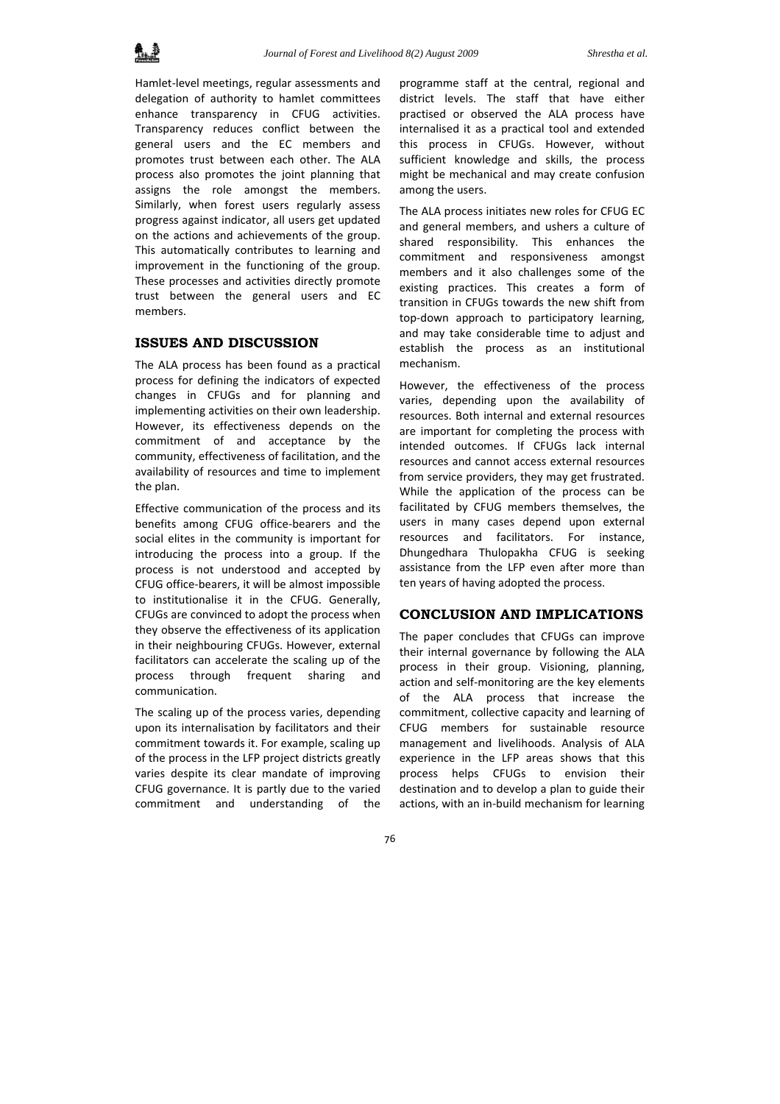Hamlet‐level meetings, regular assessments and delegation of authority to hamlet committees enhance transparency in CFUG activities. Transparency reduces conflict between the general users and the EC members and promotes trust between each other. The ALA process also promotes the joint planning that assigns the role amongst the members. Similarly, when forest users regularly assess progress against indicator, all users get updated on the actions and achievements of the group. This automatically contributes to learning and improvement in the functioning of the group. These processes and activities directly promote trust between the general users and EC members.

### **ISSUES AND DISCUSSION**

The ALA process has been found as a practical process for defining the indicators of expected changes in CFUGs and for planning and implementing activities on their own leadership. However, its effectiveness depends on the commitment of and acceptance by the community, effectiveness of facilitation, and the availability of resources and time to implement the plan.

Effective communication of the process and its benefits among CFUG office‐bearers and the social elites in the community is important for introducing the process into a group. If the process is not understood and accepted by CFUG office‐bearers, it will be almost impossible to institutionalise it in the CFUG. Generally, CFUGs are convinced to adopt the process when they observe the effectiveness of its application in their neighbouring CFUGs. However, external facilitators can accelerate the scaling up of the process through frequent sharing and communication.

The scaling up of the process varies, depending upon its internalisation by facilitators and their commitment towards it. For example, scaling up of the process in the LFP project districts greatly varies despite its clear mandate of improving CFUG governance. It is partly due to the varied commitment and understanding of the

programme staff at the central, regional and district levels. The staff that have either practised or observed the ALA process have internalised it as a practical tool and extended this process in CFUGs. However, without sufficient knowledge and skills, the process might be mechanical and may create confusion among the users.

The ALA process initiates new roles for CFUG EC and general members, and ushers a culture of shared responsibility. This enhances the commitment and responsiveness amongst members and it also challenges some of the existing practices. This creates a form of transition in CFUGs towards the new shift from top‐down approach to participatory learning, and may take considerable time to adjust and establish the process as an institutional mechanism.

However, the effectiveness of the process varies, depending upon the availability of resources. Both internal and external resources are important for completing the process with intended outcomes. If CFUGs lack internal resources and cannot access external resources from service providers, they may get frustrated. While the application of the process can be facilitated by CFUG members themselves, the users in many cases depend upon external resources and facilitators. For instance, Dhungedhara Thulopakha CFUG is seeking assistance from the LFP even after more than ten years of having adopted the process.

### **CONCLUSION AND IMPLICATIONS**

The paper concludes that CFUGs can improve their internal governance by following the ALA process in their group. Visioning, planning, action and self‐monitoring are the key elements of the ALA process that increase the commitment, collective capacity and learning of CFUG members for sustainable resource management and livelihoods. Analysis of ALA experience in the LFP areas shows that this process helps CFUGs to envision their destination and to develop a plan to guide their actions, with an in‐build mechanism for learning